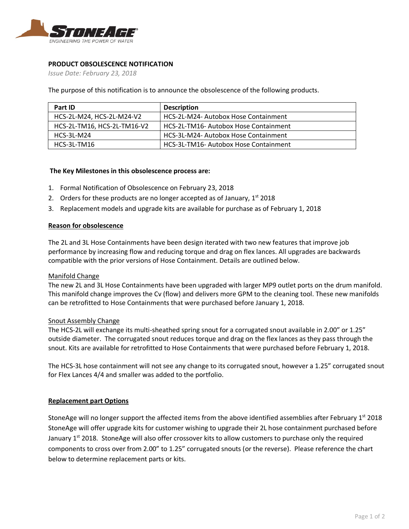

## **PRODUCT OBSOLESCENCE NOTIFICATION**

*Issue Date: February 23, 2018*

The purpose of this notification is to announce the obsolescence of the following products.

| Part ID                     | <b>Description</b>                    |  |
|-----------------------------|---------------------------------------|--|
| HCS-2L-M24, HCS-2L-M24-V2   | HCS-2L-M24- Autobox Hose Containment  |  |
| HCS-2L-TM16, HCS-2L-TM16-V2 | HCS-2L-TM16- Autobox Hose Containment |  |
| HCS-3L-M24                  | HCS-3L-M24- Autobox Hose Containment  |  |
| $HCS-3L-TM16$               | HCS-3L-TM16- Autobox Hose Containment |  |

### **The Key Milestones in this obsolescence process are:**

- 1. Formal Notification of Obsolescence on February 23, 2018
- 2. Orders for these products are no longer accepted as of January,  $1<sup>st</sup>$  2018
- 3. Replacement models and upgrade kits are available for purchase as of February 1, 2018

#### **Reason for obsolescence**

The 2L and 3L Hose Containments have been design iterated with two new features that improve job performance by increasing flow and reducing torque and drag on flex lances. All upgrades are backwards compatible with the prior versions of Hose Containment. Details are outlined below.

#### Manifold Change

The new 2L and 3L Hose Containments have been upgraded with larger MP9 outlet ports on the drum manifold. This manifold change improves the Cv (flow) and delivers more GPM to the cleaning tool. These new manifolds can be retrofitted to Hose Containments that were purchased before January 1, 2018.

#### Snout Assembly Change

The HCS-2L will exchange its multi-sheathed spring snout for a corrugated snout available in 2.00" or 1.25" outside diameter. The corrugated snout reduces torque and drag on the flex lances as they pass through the snout. Kits are available for retrofitted to Hose Containments that were purchased before February 1, 2018.

The HCS-3L hose containment will not see any change to its corrugated snout, however a 1.25" corrugated snout for Flex Lances 4/4 and smaller was added to the portfolio.

#### **Replacement part Options**

StoneAge will no longer support the affected items from the above identified assemblies after February 1<sup>st</sup> 2018 StoneAge will offer upgrade kits for customer wishing to upgrade their 2L hose containment purchased before January  $1<sup>st</sup>$  2018. StoneAge will also offer crossover kits to allow customers to purchase only the required components to cross over from 2.00" to 1.25" corrugated snouts (or the reverse). Please reference the chart below to determine replacement parts or kits.